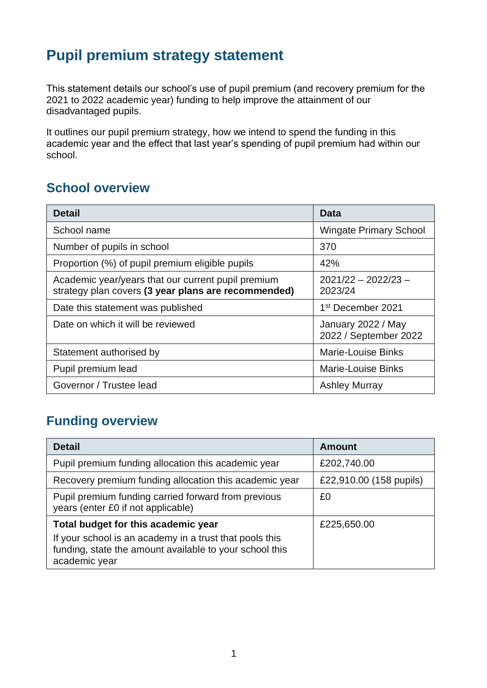## **Pupil premium strategy statement**

This statement details our school's use of pupil premium (and recovery premium for the 2021 to 2022 academic year) funding to help improve the attainment of our disadvantaged pupils.

It outlines our pupil premium strategy, how we intend to spend the funding in this academic year and the effect that last year's spending of pupil premium had within our school.

#### **School overview**

| <b>Detail</b>                                                                                             | Data                                        |
|-----------------------------------------------------------------------------------------------------------|---------------------------------------------|
| School name                                                                                               | <b>Wingate Primary School</b>               |
| Number of pupils in school                                                                                | 370                                         |
| Proportion (%) of pupil premium eligible pupils                                                           | 42%                                         |
| Academic year/years that our current pupil premium<br>strategy plan covers (3 year plans are recommended) | $2021/22 - 2022/23 -$<br>2023/24            |
| Date this statement was published                                                                         | 1 <sup>st</sup> December 2021               |
| Date on which it will be reviewed                                                                         | January 2022 / May<br>2022 / September 2022 |
| Statement authorised by                                                                                   | <b>Marie-Louise Binks</b>                   |
| Pupil premium lead                                                                                        | <b>Marie-Louise Binks</b>                   |
| Governor / Trustee lead                                                                                   | <b>Ashley Murray</b>                        |

## **Funding overview**

| <b>Detail</b>                                                                                                                                                              | <b>Amount</b>           |
|----------------------------------------------------------------------------------------------------------------------------------------------------------------------------|-------------------------|
| Pupil premium funding allocation this academic year                                                                                                                        | £202,740.00             |
| Recovery premium funding allocation this academic year                                                                                                                     | £22,910.00 (158 pupils) |
| Pupil premium funding carried forward from previous<br>years (enter £0 if not applicable)                                                                                  | £0                      |
| Total budget for this academic year<br>If your school is an academy in a trust that pools this<br>funding, state the amount available to your school this<br>academic year | £225,650.00             |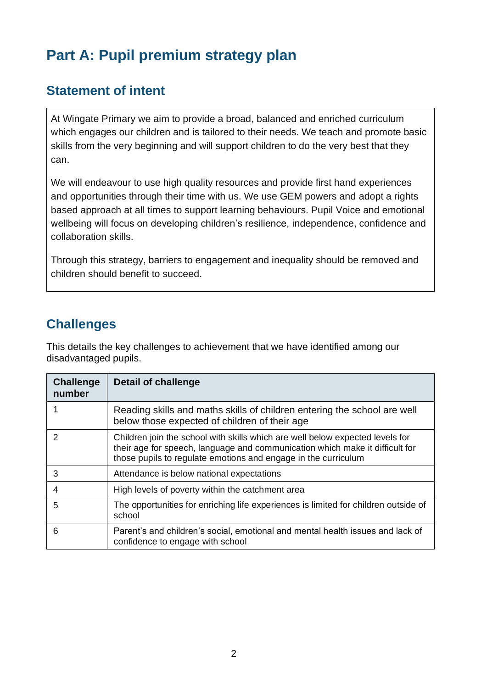# **Part A: Pupil premium strategy plan**

#### **Statement of intent**

At Wingate Primary we aim to provide a broad, balanced and enriched curriculum which engages our children and is tailored to their needs. We teach and promote basic skills from the very beginning and will support children to do the very best that they can.

We will endeavour to use high quality resources and provide first hand experiences and opportunities through their time with us. We use GEM powers and adopt a rights based approach at all times to support learning behaviours. Pupil Voice and emotional wellbeing will focus on developing children's resilience, independence, confidence and collaboration skills.

Through this strategy, barriers to engagement and inequality should be removed and children should benefit to succeed.

### **Challenges**

This details the key challenges to achievement that we have identified among our disadvantaged pupils.

| <b>Challenge</b><br>number | <b>Detail of challenge</b>                                                                                                                                                                                                      |
|----------------------------|---------------------------------------------------------------------------------------------------------------------------------------------------------------------------------------------------------------------------------|
|                            | Reading skills and maths skills of children entering the school are well<br>below those expected of children of their age                                                                                                       |
| $\mathcal{P}$              | Children join the school with skills which are well below expected levels for<br>their age for speech, language and communication which make it difficult for<br>those pupils to regulate emotions and engage in the curriculum |
| 3                          | Attendance is below national expectations                                                                                                                                                                                       |
| 4                          | High levels of poverty within the catchment area                                                                                                                                                                                |
| 5                          | The opportunities for enriching life experiences is limited for children outside of<br>school                                                                                                                                   |
| 6                          | Parent's and children's social, emotional and mental health issues and lack of<br>confidence to engage with school                                                                                                              |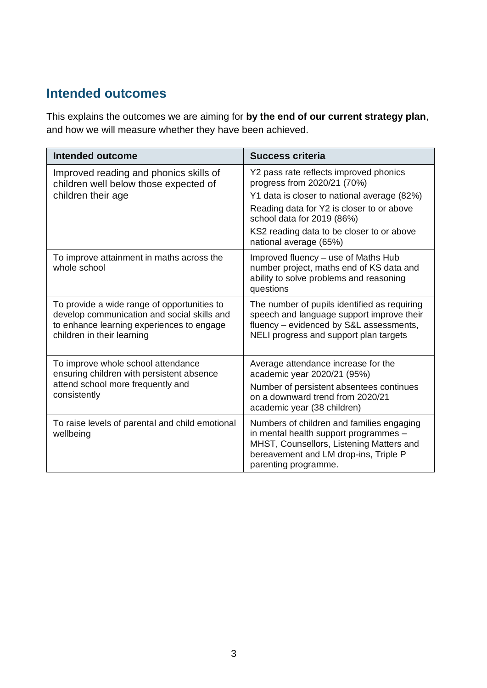### **Intended outcomes**

This explains the outcomes we are aiming for **by the end of our current strategy plan**, and how we will measure whether they have been achieved.

| Intended outcome                                                                                                                                                      | <b>Success criteria</b>                                                                                                                                                                         |
|-----------------------------------------------------------------------------------------------------------------------------------------------------------------------|-------------------------------------------------------------------------------------------------------------------------------------------------------------------------------------------------|
| Improved reading and phonics skills of<br>children well below those expected of                                                                                       | Y2 pass rate reflects improved phonics<br>progress from 2020/21 (70%)                                                                                                                           |
| children their age                                                                                                                                                    | Y1 data is closer to national average (82%)                                                                                                                                                     |
|                                                                                                                                                                       | Reading data for Y2 is closer to or above<br>school data for 2019 (86%)                                                                                                                         |
|                                                                                                                                                                       | KS2 reading data to be closer to or above<br>national average (65%)                                                                                                                             |
| To improve attainment in maths across the<br>whole school                                                                                                             | Improved fluency - use of Maths Hub<br>number project, maths end of KS data and<br>ability to solve problems and reasoning<br>questions                                                         |
| To provide a wide range of opportunities to<br>develop communication and social skills and<br>to enhance learning experiences to engage<br>children in their learning | The number of pupils identified as requiring<br>speech and language support improve their<br>fluency – evidenced by S&L assessments,<br>NELI progress and support plan targets                  |
| To improve whole school attendance<br>ensuring children with persistent absence<br>attend school more frequently and<br>consistently                                  | Average attendance increase for the<br>academic year 2020/21 (95%)                                                                                                                              |
|                                                                                                                                                                       | Number of persistent absentees continues<br>on a downward trend from 2020/21<br>academic year (38 children)                                                                                     |
| To raise levels of parental and child emotional<br>wellbeing                                                                                                          | Numbers of children and families engaging<br>in mental health support programmes -<br>MHST, Counsellors, Listening Matters and<br>bereavement and LM drop-ins, Triple P<br>parenting programme. |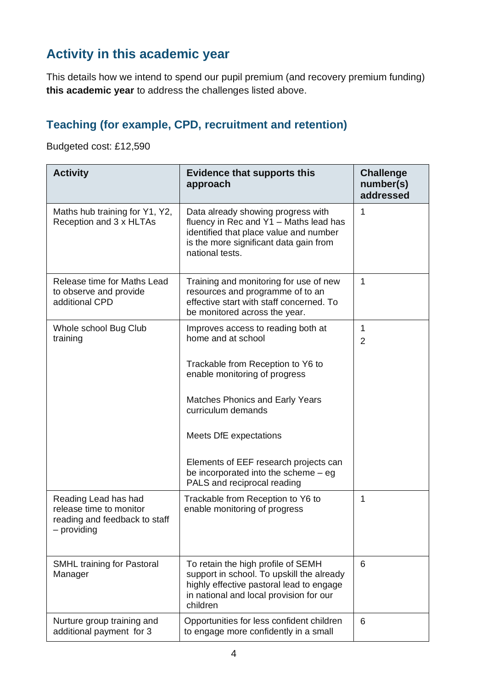### **Activity in this academic year**

This details how we intend to spend our pupil premium (and recovery premium funding) **this academic year** to address the challenges listed above.

### **Teaching (for example, CPD, recruitment and retention)**

Budgeted cost: £12,590

| <b>Activity</b>                                                                                 | <b>Evidence that supports this</b><br>approach                                                                                                                                      | <b>Challenge</b><br>number(s)<br>addressed |
|-------------------------------------------------------------------------------------------------|-------------------------------------------------------------------------------------------------------------------------------------------------------------------------------------|--------------------------------------------|
| Maths hub training for Y1, Y2,<br>Reception and 3 x HLTAs                                       | Data already showing progress with<br>fluency in Rec and Y1 - Maths lead has<br>identified that place value and number<br>is the more significant data gain from<br>national tests. | 1                                          |
| Release time for Maths Lead<br>to observe and provide<br>additional CPD                         | Training and monitoring for use of new<br>resources and programme of to an<br>effective start with staff concerned. To<br>be monitored across the year.                             | $\mathbf 1$                                |
| Whole school Bug Club<br>training                                                               | Improves access to reading both at<br>home and at school<br>Trackable from Reception to Y6 to                                                                                       | 1<br>$\overline{2}$                        |
|                                                                                                 | enable monitoring of progress                                                                                                                                                       |                                            |
|                                                                                                 | <b>Matches Phonics and Early Years</b><br>curriculum demands                                                                                                                        |                                            |
|                                                                                                 | Meets DfE expectations                                                                                                                                                              |                                            |
|                                                                                                 | Elements of EEF research projects can<br>be incorporated into the scheme $-$ eg<br>PALS and reciprocal reading                                                                      |                                            |
| Reading Lead has had<br>release time to monitor<br>reading and feedback to staff<br>- providing | Trackable from Reception to Y6 to<br>enable monitoring of progress                                                                                                                  | 1                                          |
| SMHL training for Pastoral<br>Manager                                                           | To retain the high profile of SEMH<br>support in school. To upskill the already<br>highly effective pastoral lead to engage<br>in national and local provision for our<br>children  | 6                                          |
| Nurture group training and<br>additional payment for 3                                          | Opportunities for less confident children<br>to engage more confidently in a small                                                                                                  | 6                                          |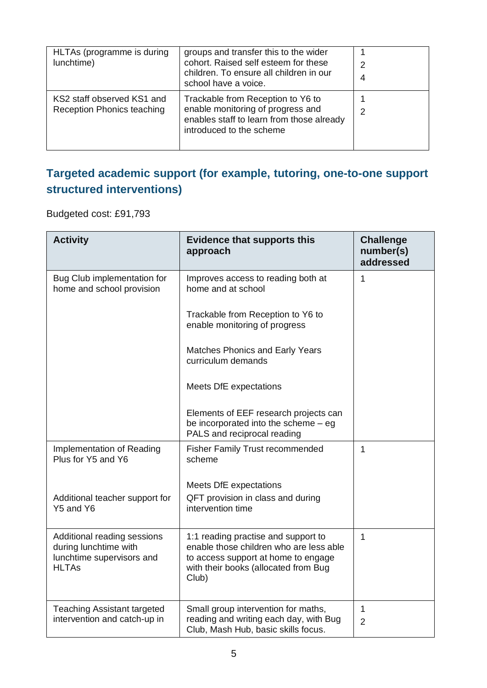| HLTAs (programme is during<br>lunchtime)                 | groups and transfer this to the wider<br>cohort. Raised self esteem for these<br>children. To ensure all children in our<br>school have a voice. | 2<br>4 |
|----------------------------------------------------------|--------------------------------------------------------------------------------------------------------------------------------------------------|--------|
| KS2 staff observed KS1 and<br>Reception Phonics teaching | Trackable from Reception to Y6 to<br>enable monitoring of progress and<br>enables staff to learn from those already<br>introduced to the scheme  | 2      |

### **Targeted academic support (for example, tutoring, one-to-one support structured interventions)**

Budgeted cost: £91,793

| <b>Activity</b>                                                                                   | <b>Evidence that supports this</b><br>approach                                                                                                                         | <b>Challenge</b><br>number(s)<br>addressed |
|---------------------------------------------------------------------------------------------------|------------------------------------------------------------------------------------------------------------------------------------------------------------------------|--------------------------------------------|
| Bug Club implementation for<br>home and school provision                                          | Improves access to reading both at<br>home and at school                                                                                                               | 1                                          |
|                                                                                                   | Trackable from Reception to Y6 to<br>enable monitoring of progress                                                                                                     |                                            |
|                                                                                                   | <b>Matches Phonics and Early Years</b><br>curriculum demands                                                                                                           |                                            |
|                                                                                                   | Meets DfE expectations                                                                                                                                                 |                                            |
|                                                                                                   | Elements of EEF research projects can<br>be incorporated into the scheme - eg<br>PALS and reciprocal reading                                                           |                                            |
| Implementation of Reading<br>Plus for Y5 and Y6                                                   | <b>Fisher Family Trust recommended</b><br>scheme                                                                                                                       | 1                                          |
|                                                                                                   | Meets DfE expectations                                                                                                                                                 |                                            |
| Additional teacher support for<br>Y5 and Y6                                                       | QFT provision in class and during<br>intervention time                                                                                                                 |                                            |
| Additional reading sessions<br>during lunchtime with<br>lunchtime supervisors and<br><b>HLTAs</b> | 1:1 reading practise and support to<br>enable those children who are less able<br>to access support at home to engage<br>with their books (allocated from Bug<br>Club) | $\mathbf{1}$                               |
| <b>Teaching Assistant targeted</b>                                                                | Small group intervention for maths,                                                                                                                                    | $\mathbf{1}$                               |
| intervention and catch-up in                                                                      | reading and writing each day, with Bug<br>Club, Mash Hub, basic skills focus.                                                                                          | $\overline{2}$                             |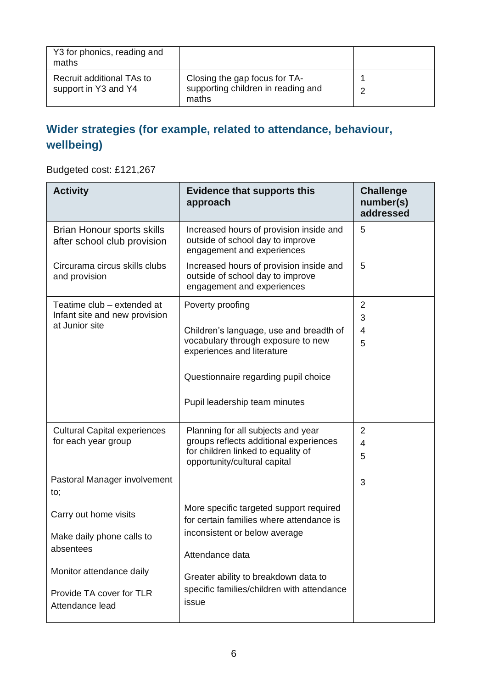| Y3 for phonics, reading and<br>maths              |                                                                              |  |
|---------------------------------------------------|------------------------------------------------------------------------------|--|
| Recruit additional TAs to<br>support in Y3 and Y4 | Closing the gap focus for TA-<br>supporting children in reading and<br>maths |  |

### **Wider strategies (for example, related to attendance, behaviour, wellbeing)**

Budgeted cost: £121,267

| <b>Activity</b>                                                               | <b>Evidence that supports this</b><br>approach                                                                                                                                                           | <b>Challenge</b><br>number(s)<br>addressed |
|-------------------------------------------------------------------------------|----------------------------------------------------------------------------------------------------------------------------------------------------------------------------------------------------------|--------------------------------------------|
| Brian Honour sports skills<br>after school club provision                     | Increased hours of provision inside and<br>outside of school day to improve<br>engagement and experiences                                                                                                | 5                                          |
| Circurama circus skills clubs<br>and provision                                | Increased hours of provision inside and<br>outside of school day to improve<br>engagement and experiences                                                                                                | 5                                          |
| Teatime club - extended at<br>Infant site and new provision<br>at Junior site | Poverty proofing<br>Children's language, use and breadth of<br>vocabulary through exposure to new<br>experiences and literature<br>Questionnaire regarding pupil choice<br>Pupil leadership team minutes | $\overline{2}$<br>3<br>$\overline{4}$<br>5 |
| <b>Cultural Capital experiences</b><br>for each year group                    | Planning for all subjects and year<br>groups reflects additional experiences<br>for children linked to equality of<br>opportunity/cultural capital                                                       | $\overline{2}$<br>$\overline{4}$<br>5      |
| Pastoral Manager involvement<br>to;                                           |                                                                                                                                                                                                          | 3                                          |
| Carry out home visits<br>Make daily phone calls to<br>absentees               | More specific targeted support required<br>for certain families where attendance is<br>inconsistent or below average<br>Attendance data                                                                  |                                            |
| Monitor attendance daily<br>Provide TA cover for TLR<br>Attendance lead       | Greater ability to breakdown data to<br>specific families/children with attendance<br>issue                                                                                                              |                                            |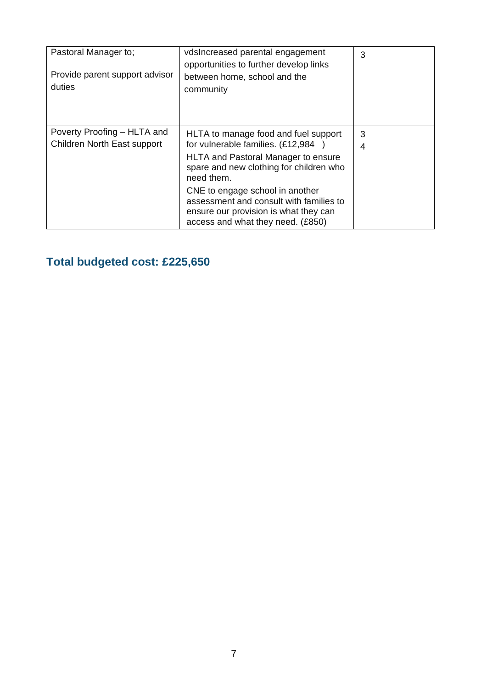| Pastoral Manager to;<br>Provide parent support advisor<br>duties | vdsIncreased parental engagement<br>opportunities to further develop links<br>between home, school and the<br>community                                                                                                                                                                                                                      | 3      |
|------------------------------------------------------------------|----------------------------------------------------------------------------------------------------------------------------------------------------------------------------------------------------------------------------------------------------------------------------------------------------------------------------------------------|--------|
| Poverty Proofing – HLTA and<br>Children North East support       | HLTA to manage food and fuel support<br>for vulnerable families. (£12,984<br><b>HLTA and Pastoral Manager to ensure</b><br>spare and new clothing for children who<br>need them.<br>CNE to engage school in another<br>assessment and consult with families to<br>ensure our provision is what they can<br>access and what they need. (£850) | 3<br>4 |

## **Total budgeted cost: £225,650**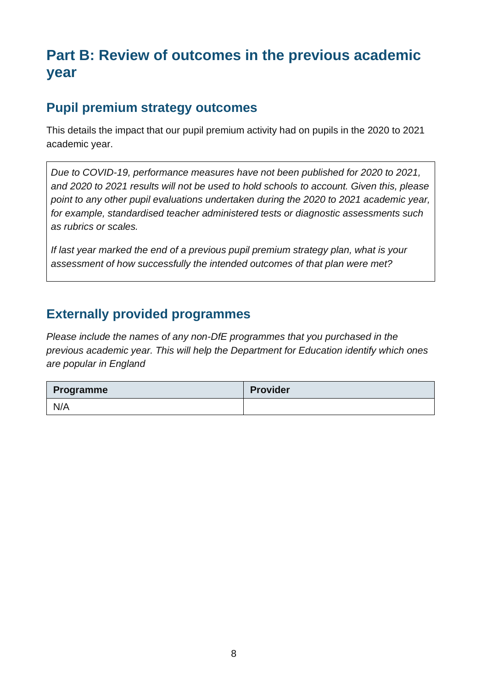# **Part B: Review of outcomes in the previous academic year**

#### **Pupil premium strategy outcomes**

This details the impact that our pupil premium activity had on pupils in the 2020 to 2021 academic year.

*Due to COVID-19, performance measures have not been published for 2020 to 2021, and 2020 to 2021 results will not be used to hold schools to account. Given this, please point to any other pupil evaluations undertaken during the 2020 to 2021 academic year, for example, standardised teacher administered tests or diagnostic assessments such as rubrics or scales.*

*If last year marked the end of a previous pupil premium strategy plan, what is your assessment of how successfully the intended outcomes of that plan were met?* 

#### **Externally provided programmes**

*Please include the names of any non-DfE programmes that you purchased in the previous academic year. This will help the Department for Education identify which ones are popular in England*

| <b>Programme</b> | <b>Provider</b> |
|------------------|-----------------|
| N/A              |                 |